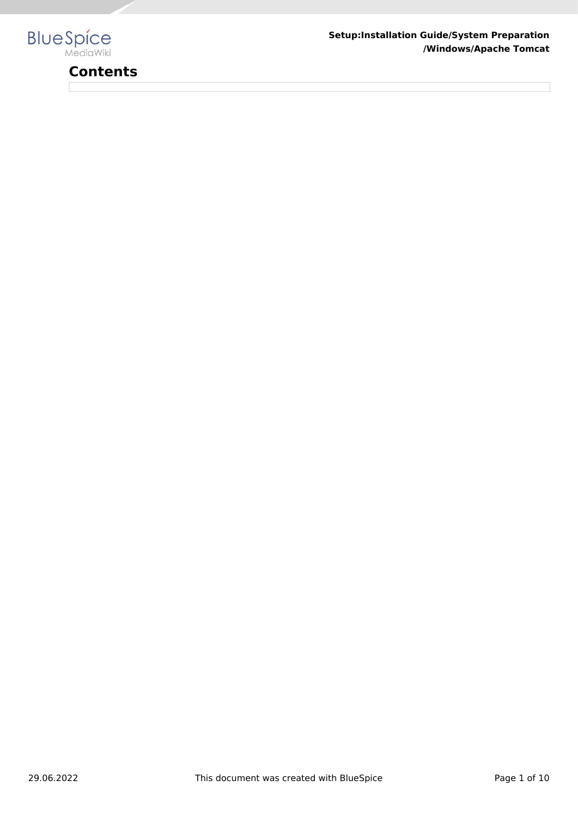

# **Contents**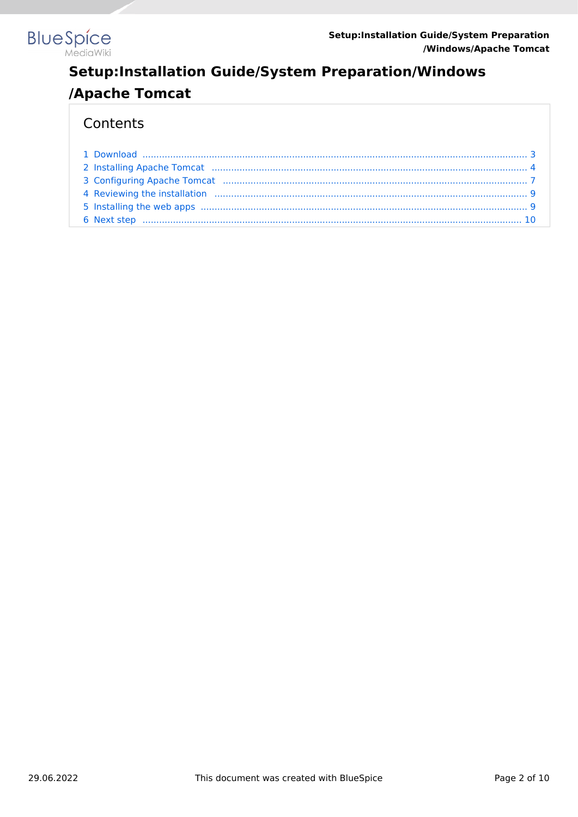

## Contents

| 2 Installing Apache Tomcat (1111) 2010) 4 (1212) 4 (1212) 4 (1213) 4 (1214) 4 (1214) 4 (1214) 4 (1214) 4 (1214) 4 (1214) 4 (1214) 4 (1214) 4 (1214) 4 (1214) 4 (1214) 4 (1214) 4 (1214) 4 (1214) 4 (1214) 4 (1214) 4 (1214) 4  |  |
|--------------------------------------------------------------------------------------------------------------------------------------------------------------------------------------------------------------------------------|--|
|                                                                                                                                                                                                                                |  |
|                                                                                                                                                                                                                                |  |
| 5 Installing the web apps (a) and the material contract of the state of the state of the state of the state of the state of the state of the state of the state of the state of the state of the state of the state of the sta |  |
|                                                                                                                                                                                                                                |  |
|                                                                                                                                                                                                                                |  |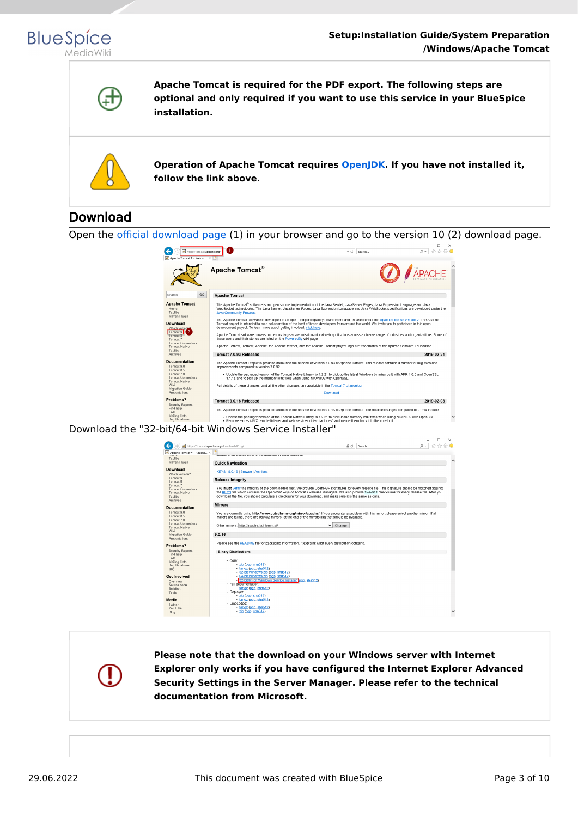



**Apache Tomcat is required for the PDF export. The following steps are optional and only required if you want to use this service in your BlueSpice installation.**



**Operation of Apache Tomcat requires [OpenJDK.](https://en.wiki.bluespice.com/wiki/Setup:Installation_Guide/System_Preparation/Windows/OpenJDK) If you have not installed it, follow the link above.**

# <span id="page-2-0"></span>Download

Open the [official download page](http://tomcat.apache.org/) (1) in your browser and go to the version 10 (2) download page.



Download the "32-bit/64-bit Windows Service Installer"

|                                                                                            | 企 众 徽 ●<br>https://tomcat.apache.org/download-90.cqi<br>$\Omega$ +<br>$- 0$<br>Search                                                                                                                                                                                                                                                                                                                                   |  |
|--------------------------------------------------------------------------------------------|-------------------------------------------------------------------------------------------------------------------------------------------------------------------------------------------------------------------------------------------------------------------------------------------------------------------------------------------------------------------------------------------------------------------------|--|
| Apache Tomcat® - Apache X<br>Taglibs                                                       |                                                                                                                                                                                                                                                                                                                                                                                                                         |  |
| Mayen Plugin                                                                               | <b>Quick Navigation</b>                                                                                                                                                                                                                                                                                                                                                                                                 |  |
| <b>Download</b><br>Which version?<br>Tomcat 9                                              | KEYS   9.0.16   Browse   Archives                                                                                                                                                                                                                                                                                                                                                                                       |  |
| Tomcat 8                                                                                   | <b>Release Integrity</b>                                                                                                                                                                                                                                                                                                                                                                                                |  |
| Tomcat 7<br><b>Tomcat Connectors</b><br><b>Tomcat Native</b><br>Taglibs<br><b>Archives</b> | You must verify the integrity of the downloaded files. We provide OpenPGP signatures for every release file. This signature should be matched against<br>the KEYS file which contains the OpenPGP keys of Tomcat's Release Managers. We also provide SHA-512 checksums for every release file. After you<br>download the file, you should calculate a checksum for your download, and make sure it is the same as ours. |  |
| <b>Documentation</b>                                                                       | <b>Mirrors</b>                                                                                                                                                                                                                                                                                                                                                                                                          |  |
| Tomcat 9.0<br>Tomcat 8.5<br>Tomcat 7.0                                                     | You are currently using http://www.gutscheine.org/mirror/apache/. If you encounter a problem with this mirror, please select another mirror. If all<br>mirrors are failing, there are backup mirrors (at the end of the mirrors list) that should be available.                                                                                                                                                         |  |
| <b>Tomcat Connectors</b><br><b>Tomcat Native</b><br>Wiki                                   | Other mirrors: http://apache.lauf-forum.at/<br>$\checkmark$<br>Change                                                                                                                                                                                                                                                                                                                                                   |  |
| Migration Guide<br>Presentations                                                           | 9.0.16                                                                                                                                                                                                                                                                                                                                                                                                                  |  |
| Problems?                                                                                  | Please see the README file for packaging information. It explains what every distribution contains.                                                                                                                                                                                                                                                                                                                     |  |
| Security Reports<br>Find help                                                              | <b>Binary Distributions</b>                                                                                                                                                                                                                                                                                                                                                                                             |  |
| <b>FAQ</b><br>Mailing Lists<br><b>Bug Database</b><br><b>IRC</b>                           | - Core:<br>· zip (pgp, sha512)<br>$\cdot$ tar.gz (pgp, sha512)<br>- 32-bit Windows zip (pgp, sha512)                                                                                                                                                                                                                                                                                                                    |  |
| <b>Get Involved</b><br>Overview                                                            | . 64-bit Windows zip (pgp, sha512)<br>- 32-bit/64-bit Windows Service Installer rogp, sha512)                                                                                                                                                                                                                                                                                                                           |  |
| Source code<br>Buildbot<br>Tools                                                           | · Full documentation:<br>$\cdot$ tar.gz (pgp, sha512)<br>· Deplover:                                                                                                                                                                                                                                                                                                                                                    |  |
| Media                                                                                      | · zip (pgp, sha512)<br>$\tan qz$ (pqp, sha512)                                                                                                                                                                                                                                                                                                                                                                          |  |
| Twitter<br>YouTube                                                                         | · Embedded:<br>• tar.gz (pgp, sha512)                                                                                                                                                                                                                                                                                                                                                                                   |  |
| Blog                                                                                       | $-$ zip (pqp, sha512)                                                                                                                                                                                                                                                                                                                                                                                                   |  |

**Please note that the download on your Windows server with Internet Explorer only works if you have configured the Internet Explorer Advanced Security Settings in the Server Manager. Please refer to the technical documentation from Microsoft.**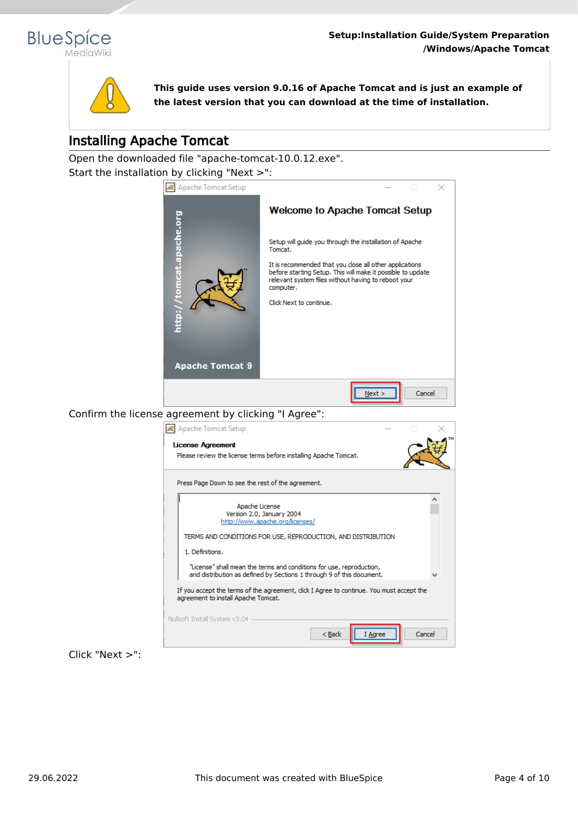



**This guide uses version 9.0.16 of Apache Tomcat and is just an example of the latest version that you can download at the time of installation.**

# <span id="page-3-0"></span>Installing Apache Tomcat

Open the downloaded file "apache-tomcat-10.0.12.exe". Start the installation by clicking "Next >":

Nullsoft Install System v3.04 -



Click "Next >":

 $<$  Back

I Agree

Cancel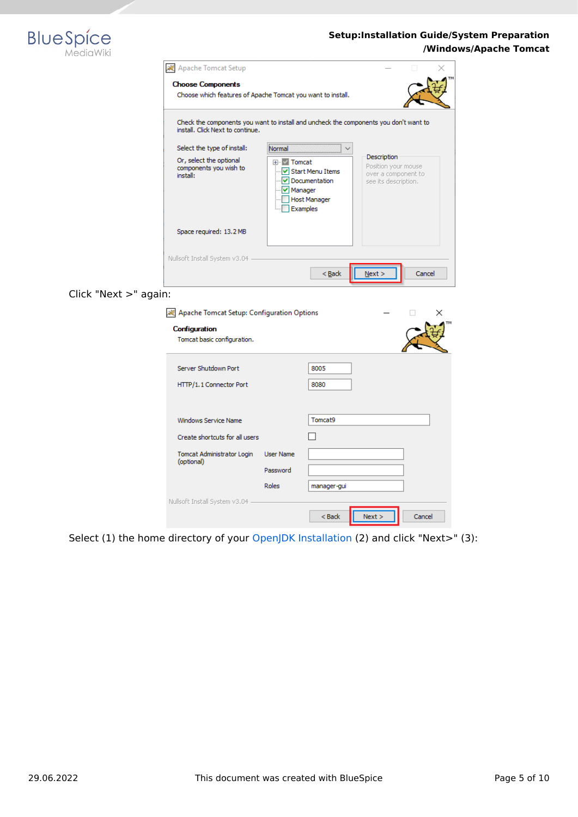

| Apache Tomcat Setup                                                                     |                                                                                             |                                                                                   |        |  |  |  |  |  |
|-----------------------------------------------------------------------------------------|---------------------------------------------------------------------------------------------|-----------------------------------------------------------------------------------|--------|--|--|--|--|--|
| <b>Choose Components</b><br>Choose which features of Apache Tomcat you want to install. |                                                                                             |                                                                                   |        |  |  |  |  |  |
| install. Click Next to continue.                                                        | Check the components you want to install and uncheck the components you don't want to       |                                                                                   |        |  |  |  |  |  |
| Select the type of install:                                                             |                                                                                             |                                                                                   |        |  |  |  |  |  |
| Or, select the optional<br>components you wish to<br>install:                           | Tomcat<br>√ Start Menu Items<br>Documentation<br>Manager<br><b>Host Manager</b><br>Examples | Description<br>Position your mouse<br>over a component to<br>see its description. |        |  |  |  |  |  |
| Space required: 13.2 MB                                                                 |                                                                                             |                                                                                   |        |  |  |  |  |  |
| Nullsoft Install System v3.04                                                           | $<$ Back                                                                                    | Next >                                                                            | Cancel |  |  |  |  |  |

## Click "Next >" again:

| All Apache Tomcat Setup: Configuration Options |                  |             |      | ×      |  |
|------------------------------------------------|------------------|-------------|------|--------|--|
| Configuration<br>Tomcat basic configuration.   |                  |             |      |        |  |
| Server Shutdown Port                           |                  | 8005        |      |        |  |
| HTTP/1.1 Connector Port                        |                  | 8080        |      |        |  |
| Windows Service Name                           |                  | Tomcat9     |      |        |  |
| Create shortcuts for all users                 |                  |             |      |        |  |
| Tomcat Administrator Login<br>(optional)       | <b>User Name</b> |             |      |        |  |
|                                                | Password         |             |      |        |  |
|                                                | Roles            | manager-gui |      |        |  |
| Nullsoft Install System v3.04                  |                  |             |      |        |  |
|                                                |                  | $Back$      | Next | Cancel |  |

Select (1) the home directory of your [OpenJDK Installation](https://en.wiki.bluespice.com/wiki/Setup:Installation_Guide/System_Preparation/Windows/OpenJDK) (2) and click "Next>" (3):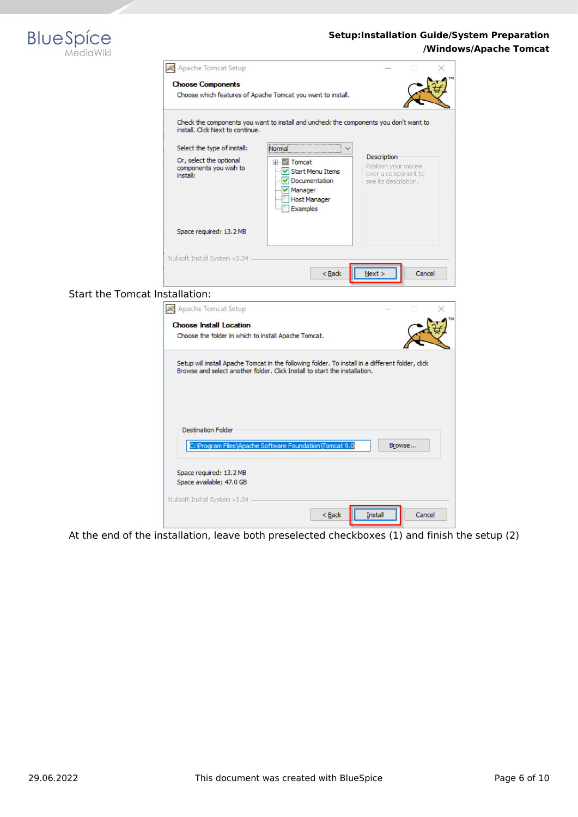

|                                       | <b>人</b> Apache Tomcat Setup                                                           |                                                                                                                                                                                 |                                                                                   |
|---------------------------------------|----------------------------------------------------------------------------------------|---------------------------------------------------------------------------------------------------------------------------------------------------------------------------------|-----------------------------------------------------------------------------------|
|                                       | <b>Choose Components</b>                                                               |                                                                                                                                                                                 |                                                                                   |
|                                       |                                                                                        | Choose which features of Apache Tomcat you want to install.                                                                                                                     |                                                                                   |
|                                       |                                                                                        |                                                                                                                                                                                 |                                                                                   |
|                                       | install. Click Next to continue.                                                       | Check the components you want to install and uncheck the components you don't want to                                                                                           |                                                                                   |
|                                       | Select the type of install:                                                            | Normal                                                                                                                                                                          |                                                                                   |
|                                       | Or, select the optional<br>components you wish to<br>install:                          | ⊞ √ Tomcat<br>- V Start Menu Items<br>v Documentation<br>Manager<br>Host Manager<br>Examples                                                                                    | Description<br>Position your mouse<br>over a component to<br>see its description. |
|                                       | Space required: 13.2 MB                                                                |                                                                                                                                                                                 |                                                                                   |
|                                       |                                                                                        |                                                                                                                                                                                 |                                                                                   |
|                                       | Nullsoft Install System v3.04 -                                                        |                                                                                                                                                                                 |                                                                                   |
|                                       |                                                                                        |                                                                                                                                                                                 |                                                                                   |
|                                       |                                                                                        | $Back$                                                                                                                                                                          | Next<br>Cancel                                                                    |
| <b>Start the Tomcat Installation:</b> |                                                                                        |                                                                                                                                                                                 |                                                                                   |
|                                       | Apache Tomcat Setup                                                                    |                                                                                                                                                                                 |                                                                                   |
|                                       |                                                                                        |                                                                                                                                                                                 |                                                                                   |
|                                       | <b>Choose Install Location</b><br>Choose the folder in which to install Apache Tomcat. |                                                                                                                                                                                 |                                                                                   |
|                                       |                                                                                        |                                                                                                                                                                                 |                                                                                   |
|                                       |                                                                                        | Setup will install Apache Tomcat in the following folder. To install in a different folder, click<br>Browse and select another folder. Click Install to start the installation. |                                                                                   |
|                                       | <b>Destination Folder</b><br>Space required: 13.2 MB                                   | C: Program Files \Apache Software Foundation \Tomcat 9.0                                                                                                                        | Browse                                                                            |
|                                       | Space available: 47.0 GB                                                               |                                                                                                                                                                                 |                                                                                   |
|                                       |                                                                                        |                                                                                                                                                                                 |                                                                                   |
|                                       | Nullsoft Install System v3.04                                                          | $Back$                                                                                                                                                                          | <b>Install</b><br>Cancel                                                          |

At the end of the installation, leave both preselected checkboxes (1) and finish the setup (2)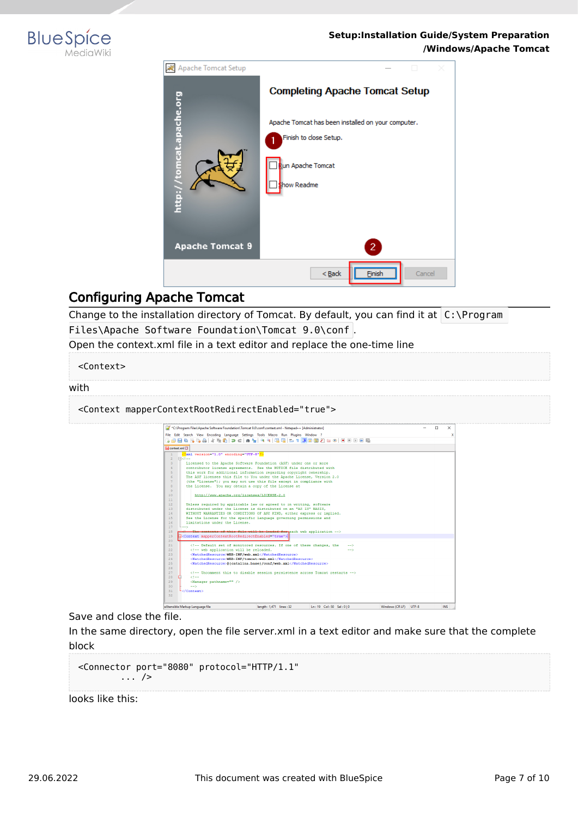



# <span id="page-6-0"></span>Configuring Apache Tomcat

Change to the installation directory of Tomcat. By default, you can find it at  $C:\PP$ rogram Files\Apache Software Foundation\Tomcat 9.0\conf .

Open the context.xml file in a text editor and replace the one-time line

<Context>

#### with

<Context mapperContextRootRedirectEnabled="true">

| *C:\Program Files\Apache Software Foundation\Tomcat 9.0\conf\context.xml - Notepad++ [Administrator]                                                                                                                                                                                                                                                                                                                                                                                                                                                                                                                                                            | п | $\times$ |
|-----------------------------------------------------------------------------------------------------------------------------------------------------------------------------------------------------------------------------------------------------------------------------------------------------------------------------------------------------------------------------------------------------------------------------------------------------------------------------------------------------------------------------------------------------------------------------------------------------------------------------------------------------------------|---|----------|
| File Edit Search View Encoding Language Settings Tools Macro Run Plugins Window ?                                                                                                                                                                                                                                                                                                                                                                                                                                                                                                                                                                               |   |          |
|                                                                                                                                                                                                                                                                                                                                                                                                                                                                                                                                                                                                                                                                 |   |          |
|                                                                                                                                                                                                                                                                                                                                                                                                                                                                                                                                                                                                                                                                 |   |          |
| El context.xml E3                                                                                                                                                                                                                                                                                                                                                                                                                                                                                                                                                                                                                                               |   |          |
| xml version="1.0" encoding="UTF-8"?                                                                                                                                                                                                                                                                                                                                                                                                                                                                                                                                                                                                                             |   |          |
| <b>Ekt--</b>                                                                                                                                                                                                                                                                                                                                                                                                                                                                                                                                                                                                                                                    |   |          |
| $\mathcal{R}$<br>Licensed to the Apache Software Foundation (ASF) under one or more                                                                                                                                                                                                                                                                                                                                                                                                                                                                                                                                                                             |   |          |
| contributor license agreements. See the NOTICE file distributed with<br>$\overline{a}$                                                                                                                                                                                                                                                                                                                                                                                                                                                                                                                                                                          |   |          |
| this work for additional information regarding convright ownership.<br>ĸ,                                                                                                                                                                                                                                                                                                                                                                                                                                                                                                                                                                                       |   |          |
| The ASF licenses this file to You under the Apache License. Version 2.0<br>6                                                                                                                                                                                                                                                                                                                                                                                                                                                                                                                                                                                    |   |          |
| $\overline{7}$<br>(the "License"); you may not use this file except in compliance with                                                                                                                                                                                                                                                                                                                                                                                                                                                                                                                                                                          |   |          |
| the License. You may obtain a copy of the License at<br>$\mathsf{R}$                                                                                                                                                                                                                                                                                                                                                                                                                                                                                                                                                                                            |   |          |
| $\mathbf{Q}$                                                                                                                                                                                                                                                                                                                                                                                                                                                                                                                                                                                                                                                    |   |          |
| 10<br>http://www.apache.org/licenses/LICENSE-2.0                                                                                                                                                                                                                                                                                                                                                                                                                                                                                                                                                                                                                |   |          |
| 11                                                                                                                                                                                                                                                                                                                                                                                                                                                                                                                                                                                                                                                              |   |          |
| 12<br>Unless required by applicable law or agreed to in writing, software                                                                                                                                                                                                                                                                                                                                                                                                                                                                                                                                                                                       |   |          |
| distributed under the License is distributed on an "AS IS" BASIS.<br>13                                                                                                                                                                                                                                                                                                                                                                                                                                                                                                                                                                                         |   |          |
| 14<br>WITHOUT WARRANTIES OR CONDITIONS OF ANY KIND, either express or implied.                                                                                                                                                                                                                                                                                                                                                                                                                                                                                                                                                                                  |   |          |
| 15<br>See the License for the specific language governing permissions and                                                                                                                                                                                                                                                                                                                                                                                                                                                                                                                                                                                       |   |          |
| limitations under the License.<br>16                                                                                                                                                                                                                                                                                                                                                                                                                                                                                                                                                                                                                            |   |          |
| 17                                                                                                                                                                                                                                                                                                                                                                                                                                                                                                                                                                                                                                                              |   |          |
| 18<br>The contents of this file will be loaded for each web application -->                                                                                                                                                                                                                                                                                                                                                                                                                                                                                                                                                                                     |   |          |
| Econtext mapperContextRootRedirectEnabled="true"><br>19                                                                                                                                                                                                                                                                                                                                                                                                                                                                                                                                                                                                         |   |          |
| 20                                                                                                                                                                                                                                                                                                                                                                                                                                                                                                                                                                                                                                                              |   |          |
| 21<br>Default set of monitored resources. If one of these changes, the<br><math>--</math></td><td></td><td></td></tr><tr><td>22<br><!-- web application will be reloaded.<br><math>-5</math></td><td></td><td></td></tr><tr><td><WatchedResource>WEB-INF/web.xml</WatchedResource><br>23</td><td></td><td></td></tr><tr><td><WatchedResource>WEB-INF/tomcat-web.xml</WatchedResource><br>24</td><td></td><td></td></tr><tr><td>25<br><WatchedResource>\${catalina.base}/conf/web.xml</WatchedResource></td><td></td><td></td></tr><tr><td>26</td><td></td><td></td></tr><tr><td>27<br><!-- Uncomment this to disable session persistence across Tomcat restarts |   |          |
| 28<br>$2 + 1 = 1$                                                                                                                                                                                                                                                                                                                                                                                                                                                                                                                                                                                                                                               |   |          |
| 29<br><manager pathname=""></manager>                                                                                                                                                                                                                                                                                                                                                                                                                                                                                                                                                                                                                           |   |          |
| 30<br>$--$                                                                                                                                                                                                                                                                                                                                                                                                                                                                                                                                                                                                                                                      |   |          |
| 31<br>                                                                                                                                                                                                                                                                                                                                                                                                                                                                                                                                                                                                                                                          |   |          |
| 32                                                                                                                                                                                                                                                                                                                                                                                                                                                                                                                                                                                                                                                              |   |          |

Save and close the file.

In the same directory, open the file server.xml in a text editor and make sure that the complete block

```
<Connector port="8080" protocol="HTTP/1.1"
... />
```
looks like this: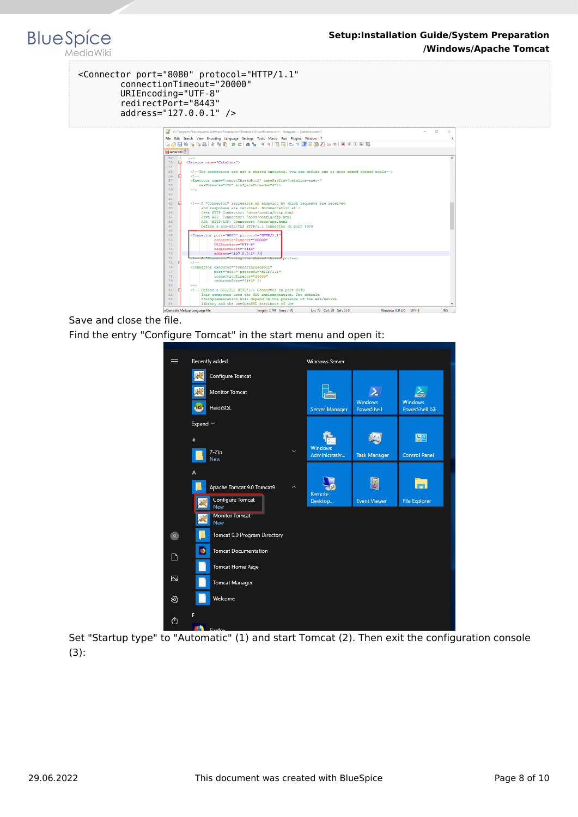#### <Connector port="8080" protocol="HTTP/1.1" connectionTimeout="20000" URIEncoding="UTF-8" redirectPort="8443" address="127.0.0.1" />

**BlueSpice** 

MediaWiki



Save and close the file. Find the entry "Configure Tomcat" in the start menu and open it:

| ≡                                         | Recently added                    | <b>Windows Server</b> |                              |                                         |
|-------------------------------------------|-----------------------------------|-----------------------|------------------------------|-----------------------------------------|
|                                           | Configure Tomcat                  |                       |                              |                                         |
|                                           | <b>Monitor Tomcat</b>             |                       |                              |                                         |
|                                           | H <sub>S</sub><br>HeidiSQL        | <b>Server Manager</b> | <b>Windows</b><br>PowerShell | <b>Windows</b><br><b>PowerShell ISE</b> |
|                                           | Expand $\vee$                     |                       |                              |                                         |
|                                           | #                                 | <b>Windows</b>        |                              | 空国                                      |
|                                           | $\checkmark$<br>$7 - Zip$<br>New  | Administrativ         | <b>Task Manager</b>          | <b>Control Panel</b>                    |
|                                           | A                                 |                       |                              |                                         |
|                                           | Apache Tomcat 9.0 Tomcat9<br>ᄉ    | Remote                | i 8                          | шI                                      |
|                                           | Configure Tomcat<br>飕<br>New      | Desktop               | <b>Event Viewer</b>          | <b>File Explorer</b>                    |
|                                           | <b>Monitor Tomcat</b><br>屎<br>New |                       |                              |                                         |
| $\begin{array}{c} \mathbf{R} \end{array}$ | Tomcat 9.0 Program Directory      |                       |                              |                                         |
| ∩                                         | D<br><b>Tomcat Documentation</b>  |                       |                              |                                         |
|                                           | Tomcat Home Page                  |                       |                              |                                         |
| Z                                         | <b>Tomcat Manager</b>             |                       |                              |                                         |
| ;⊗                                        | Welcome                           |                       |                              |                                         |
| ৩                                         | F<br>Eirofon                      |                       |                              |                                         |

Set "Startup type" to "Automatic" (1) and start Tomcat (2). Then exit the configuration console (3):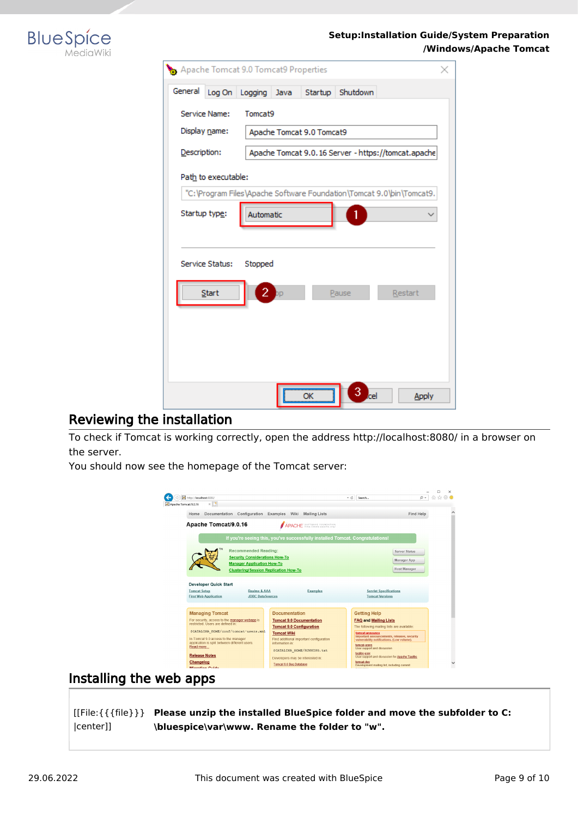

| Apache Tomcat 9.0 Tomcat9 Properties |                           |      |         |          |                                                                      |  |  |  |  |
|--------------------------------------|---------------------------|------|---------|----------|----------------------------------------------------------------------|--|--|--|--|
| General<br>Log On                    | Logging                   | Java | Startup | Shutdown |                                                                      |  |  |  |  |
| Service Name:                        | Tomcat9                   |      |         |          |                                                                      |  |  |  |  |
| Display name:                        | Apache Tomcat 9.0 Tomcat9 |      |         |          |                                                                      |  |  |  |  |
| Description:                         |                           |      |         |          | Apache Tomcat 9.0.16 Server - https://tomcat.apache                  |  |  |  |  |
| Path to executable:                  |                           |      |         |          |                                                                      |  |  |  |  |
|                                      |                           |      |         |          | "C:\Program Files\Apache Software Foundation\Tomcat 9.0\bin\Tomcat9. |  |  |  |  |
| Startup type:                        | Automatic                 |      |         |          |                                                                      |  |  |  |  |
|                                      |                           |      |         |          |                                                                      |  |  |  |  |
| Service Status:                      | Stopped                   |      |         |          |                                                                      |  |  |  |  |
|                                      |                           |      |         |          |                                                                      |  |  |  |  |
| Start                                | 2                         |      |         | Pause    | Restart                                                              |  |  |  |  |
|                                      |                           |      |         |          |                                                                      |  |  |  |  |
|                                      |                           |      |         |          |                                                                      |  |  |  |  |
|                                      |                           |      |         |          |                                                                      |  |  |  |  |
|                                      |                           |      |         |          |                                                                      |  |  |  |  |
|                                      |                           |      | ОΚ      | ъl       | <b>Apply</b>                                                         |  |  |  |  |

### <span id="page-8-0"></span>Reviewing the installation

To check if Tomcat is working correctly, open the address http://localhost:8080/ in a browser on the server.

You should now see the homepage of the Tomcat server:



### <span id="page-8-1"></span>Installing the web apps

[[File:{{{file}}} **Please unzip the installed BlueSpice folder and move the subfolder to C:** |center]] **\bluespice\var\www. Rename the folder to "w".**